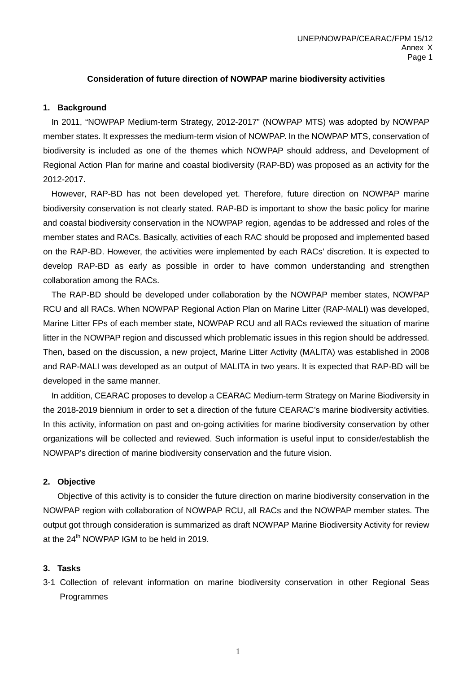### **Consideration of future direction of NOWPAP marine biodiversity activities**

#### **1. Background**

In 2011, "NOWPAP Medium-term Strategy, 2012-2017" (NOWPAP MTS) was adopted by NOWPAP member states. It expresses the medium-term vision of NOWPAP. In the NOWPAP MTS, conservation of biodiversity is included as one of the themes which NOWPAP should address, and Development of Regional Action Plan for marine and coastal biodiversity (RAP-BD) was proposed as an activity for the 2012-2017.

 However, RAP-BD has not been developed yet. Therefore, future direction on NOWPAP marine biodiversity conservation is not clearly stated. RAP-BD is important to show the basic policy for marine and coastal biodiversity conservation in the NOWPAP region, agendas to be addressed and roles of the member states and RACs. Basically, activities of each RAC should be proposed and implemented based on the RAP-BD. However, the activities were implemented by each RACs' discretion. It is expected to develop RAP-BD as early as possible in order to have common understanding and strengthen collaboration among the RACs.

The RAP-BD should be developed under collaboration by the NOWPAP member states, NOWPAP RCU and all RACs. When NOWPAP Regional Action Plan on Marine Litter (RAP-MALI) was developed, Marine Litter FPs of each member state, NOWPAP RCU and all RACs reviewed the situation of marine litter in the NOWPAP region and discussed which problematic issues in this region should be addressed. Then, based on the discussion, a new project, Marine Litter Activity (MALITA) was established in 2008 and RAP-MALI was developed as an output of MALITA in two years. It is expected that RAP-BD will be developed in the same manner.

In addition, CEARAC proposes to develop a CEARAC Medium-term Strategy on Marine Biodiversity in the 2018-2019 biennium in order to set a direction of the future CEARAC's marine biodiversity activities. In this activity, information on past and on-going activities for marine biodiversity conservation by other organizations will be collected and reviewed. Such information is useful input to consider/establish the NOWPAP's direction of marine biodiversity conservation and the future vision.

#### **2. Objective**

Objective of this activity is to consider the future direction on marine biodiversity conservation in the NOWPAP region with collaboration of NOWPAP RCU, all RACs and the NOWPAP member states. The output got through consideration is summarized as draft NOWPAP Marine Biodiversity Activity for review at the  $24<sup>th</sup>$  NOWPAP IGM to be held in 2019.

#### **3. Tasks**

3-1 Collection of relevant information on marine biodiversity conservation in other Regional Seas Programmes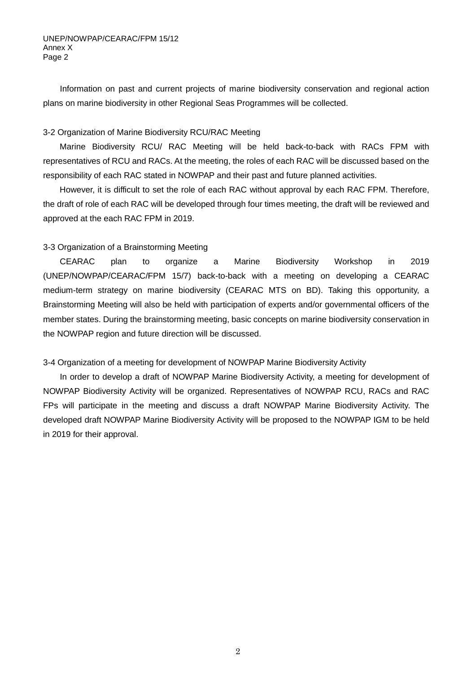Information on past and current projects of marine biodiversity conservation and regional action plans on marine biodiversity in other Regional Seas Programmes will be collected.

## 3-2 Organization of Marine Biodiversity RCU/RAC Meeting

 Marine Biodiversity RCU/ RAC Meeting will be held back-to-back with RACs FPM with representatives of RCU and RACs. At the meeting, the roles of each RAC will be discussed based on the responsibility of each RAC stated in NOWPAP and their past and future planned activities.

 However, it is difficult to set the role of each RAC without approval by each RAC FPM. Therefore, the draft of role of each RAC will be developed through four times meeting, the draft will be reviewed and approved at the each RAC FPM in 2019.

# 3-3 Organization of a Brainstorming Meeting

CEARAC plan to organize a Marine Biodiversity Workshop in 2019 (UNEP/NOWPAP/CEARAC/FPM 15/7) back-to-back with a meeting on developing a CEARAC medium-term strategy on marine biodiversity (CEARAC MTS on BD). Taking this opportunity, a Brainstorming Meeting will also be held with participation of experts and/or governmental officers of the member states. During the brainstorming meeting, basic concepts on marine biodiversity conservation in the NOWPAP region and future direction will be discussed.

### 3-4 Organization of a meeting for development of NOWPAP Marine Biodiversity Activity

In order to develop a draft of NOWPAP Marine Biodiversity Activity, a meeting for development of NOWPAP Biodiversity Activity will be organized. Representatives of NOWPAP RCU, RACs and RAC FPs will participate in the meeting and discuss a draft NOWPAP Marine Biodiversity Activity. The developed draft NOWPAP Marine Biodiversity Activity will be proposed to the NOWPAP IGM to be held in 2019 for their approval.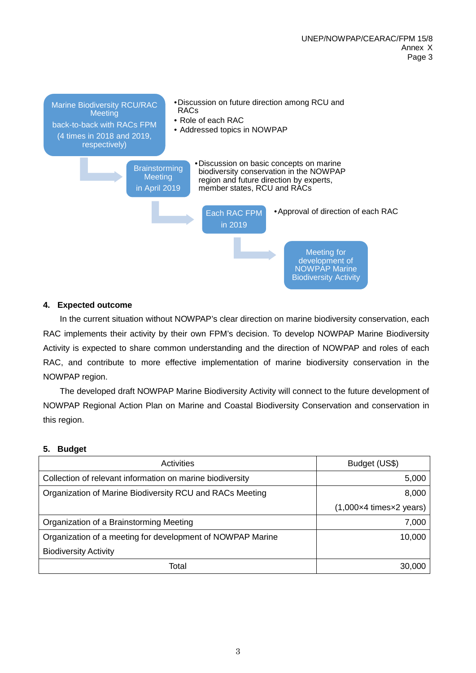

# **4. Expected outcome**

In the current situation without NOWPAP's clear direction on marine biodiversity conservation, each RAC implements their activity by their own FPM's decision. To develop NOWPAP Marine Biodiversity Activity is expected to share common understanding and the direction of NOWPAP and roles of each RAC, and contribute to more effective implementation of marine biodiversity conservation in the NOWPAP region.

The developed draft NOWPAP Marine Biodiversity Activity will connect to the future development of NOWPAP Regional Action Plan on Marine and Coastal Biodiversity Conservation and conservation in this region.

### **5. Budget**

| <b>Activities</b>                                          | Budget (US\$)                                       |
|------------------------------------------------------------|-----------------------------------------------------|
| Collection of relevant information on marine biodiversity  | 5,000                                               |
| Organization of Marine Biodiversity RCU and RACs Meeting   |                                                     |
|                                                            | $(1,000\times4 \text{ times}\times2 \text{ years})$ |
| Organization of a Brainstorming Meeting                    | 7,000                                               |
| Organization of a meeting for development of NOWPAP Marine | 10,000                                              |
| <b>Biodiversity Activity</b>                               |                                                     |
| Total                                                      | 30,000                                              |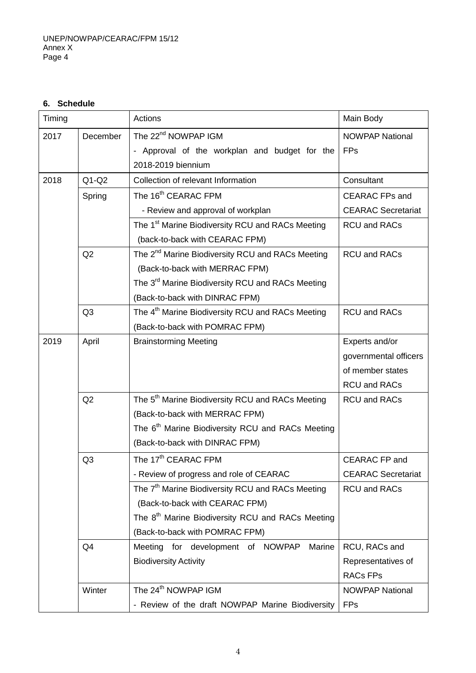# **6. Schedule**

| Timing |                | Actions                                                      | Main Body                 |
|--------|----------------|--------------------------------------------------------------|---------------------------|
| 2017   | December       | The 22 <sup>nd</sup> NOWPAP IGM                              | <b>NOWPAP National</b>    |
|        |                | - Approval of the workplan and budget for the                | <b>FPs</b>                |
|        |                | 2018-2019 biennium                                           |                           |
| 2018   | $Q1-Q2$        | Collection of relevant Information                           | Consultant                |
|        | Spring         | The 16 <sup>th</sup> CEARAC FPM                              | <b>CEARAC FPs and</b>     |
|        |                | - Review and approval of workplan                            | <b>CEARAC Secretariat</b> |
|        |                | The 1 <sup>st</sup> Marine Biodiversity RCU and RACs Meeting | <b>RCU and RACs</b>       |
|        |                | (back-to-back with CEARAC FPM)                               |                           |
|        | Q2             | The 2 <sup>nd</sup> Marine Biodiversity RCU and RACs Meeting | <b>RCU and RACs</b>       |
|        |                | (Back-to-back with MERRAC FPM)                               |                           |
|        |                | The 3 <sup>rd</sup> Marine Biodiversity RCU and RACs Meeting |                           |
|        |                | (Back-to-back with DINRAC FPM)                               |                           |
|        | Q <sub>3</sub> | The 4 <sup>th</sup> Marine Biodiversity RCU and RACs Meeting | RCU and RACs              |
|        |                | (Back-to-back with POMRAC FPM)                               |                           |
| 2019   | April          | <b>Brainstorming Meeting</b>                                 | Experts and/or            |
|        |                |                                                              | governmental officers     |
|        |                |                                                              | of member states          |
|        |                |                                                              | <b>RCU and RACs</b>       |
|        | Q2             | The 5 <sup>th</sup> Marine Biodiversity RCU and RACs Meeting | <b>RCU and RACs</b>       |
|        |                | (Back-to-back with MERRAC FPM)                               |                           |
|        |                | The 6 <sup>th</sup> Marine Biodiversity RCU and RACs Meeting |                           |
|        |                | (Back-to-back with DINRAC FPM)                               |                           |
|        | Q <sub>3</sub> | The 17 <sup>th</sup> CEARAC FPM                              | <b>CEARAC FP and</b>      |
|        |                | - Review of progress and role of CEARAC                      | <b>CEARAC Secretariat</b> |
|        |                | The 7 <sup>th</sup> Marine Biodiversity RCU and RACs Meeting | <b>RCU and RACs</b>       |
|        |                | (Back-to-back with CEARAC FPM)                               |                           |
|        |                | The 8 <sup>th</sup> Marine Biodiversity RCU and RACs Meeting |                           |
|        |                | (Back-to-back with POMRAC FPM)                               |                           |
|        | Q <sub>4</sub> | Meeting for development of NOWPAP<br>Marine                  | RCU, RACs and             |
|        |                | <b>Biodiversity Activity</b>                                 | Representatives of        |
|        |                |                                                              | <b>RACs FPs</b>           |
|        | Winter         | The 24 <sup>th</sup> NOWPAP IGM                              | <b>NOWPAP National</b>    |
|        |                | - Review of the draft NOWPAP Marine Biodiversity             | <b>FPs</b>                |